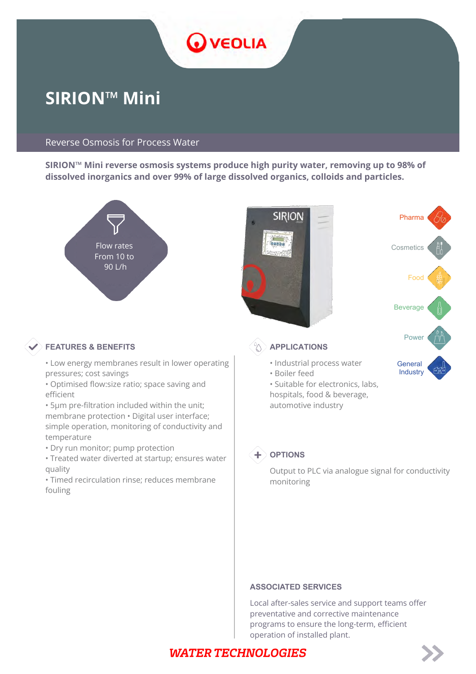

# **SIRION™ Mini**

#### Reverse Osmosis for Process Water

**SIRION™ Mini reverse osmosis systems produce high purity water, removing up to 98% of dissolved inorganics and over 99% of large dissolved organics, colloids and particles.**



#### **FEATURES & BENEFITS APPLICATIONS**

- Low energy membranes result in lower operating pressures; cost savings
- Optimised flow:size ratio; space saving and efficient
- 5μm pre-filtration included within the unit; membrane protection • Digital user interface; simple operation, monitoring of conductivity and temperature
- Dry run monitor; pump protection
- Treated water diverted at startup; ensures water quality
- Timed recirculation rinse; reduces membrane fouling



• Suitable for electronics, labs, hospitals, food & beverage, automotive industry



#### $+$  OPTIONS

Output to PLC via analogue signal for conductivity monitoring

#### **ASSOCIATED SERVICES**

Local after-sales service and support teams offer preventative and corrective maintenance programs to ensure the long-term, efficient operation of installed plant.

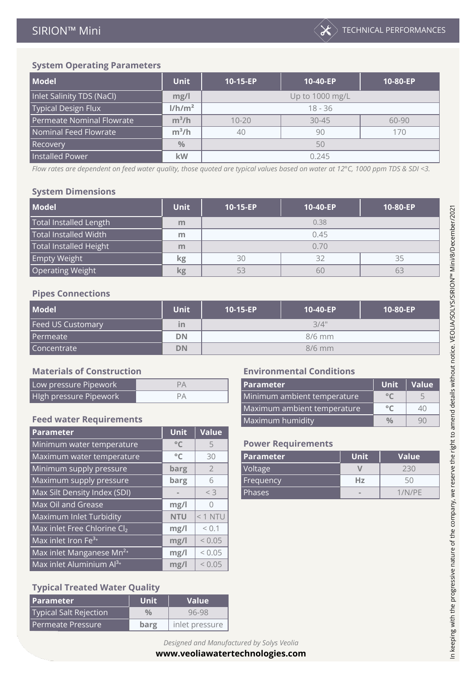| <b>Model</b>              | Unit               | 10-15-EP        | 10-40-EP  | 10-80-EP |  |  |
|---------------------------|--------------------|-----------------|-----------|----------|--|--|
| Inlet Salinity TDS (NaCl) | mg/l               | Up to 1000 mg/L |           |          |  |  |
| Typical Design Flux       | 1/h/m <sup>2</sup> | $18 - 36$       |           |          |  |  |
| Permeate Nominal Flowrate | $m^3/h$            | $10 - 20$       | $30 - 45$ | 60-90    |  |  |
| Nominal Feed Flowrate     | $m^3/h$            | 40<br>90        |           | 170      |  |  |
| Recovery                  | $\frac{0}{0}$      | 50              |           |          |  |  |
| <b>Installed Power</b>    | kW                 | 0.245           |           |          |  |  |

*Flow rates are dependent on feed water quality, those quoted are typical values based on water at 12°C, 1000 ppm TDS & SDI <3.*

#### **System Dimensions**

| <b>Model</b>                  | <b>Unit</b> | 10-15-EP | 10-40-EP | 10-80-EP |  |  |  |
|-------------------------------|-------------|----------|----------|----------|--|--|--|
| <b>Total Installed Length</b> | m           | 0.38     |          |          |  |  |  |
| Total Installed Width         | m           | 0.45     |          |          |  |  |  |
| <b>Total Installed Height</b> | m           | 0.70     |          |          |  |  |  |
| Empty Weight <sup>1</sup>     | kg          | 30       | 32       | 35       |  |  |  |
| <b>Operating Weight</b>       | kg          | 53       | 60       |          |  |  |  |

#### **Pipes Connections**

| <b>Model</b>             | <b>Unit</b> | 10-15-EP | 10-40-EP | 10-80-EP |  |  |
|--------------------------|-------------|----------|----------|----------|--|--|
| <b>Feed US Customary</b> | ın          |          | 3/4"     |          |  |  |
| Permeate                 | <b>DN</b>   | $8/6$ mm |          |          |  |  |
| Concentrate              | <b>DN</b>   |          | $8/6$ mm |          |  |  |

#### **Materials of Construction Environmental Conditions**

| 0 <sup>o</sup> | Low pressure Pipework  | l Parameter                 | Unit   Value |  |
|----------------|------------------------|-----------------------------|--------------|--|
|                | High pressure Pipework | Minimum ambient temperature |              |  |

#### **Feed water Requirements**

| Parameter                            | <b>Unit</b>  | Value          |                           |             |              |
|--------------------------------------|--------------|----------------|---------------------------|-------------|--------------|
| Minimum water temperature            | $^{\circ}$ C | 5              | <b>Power Requirements</b> |             |              |
| Maximum water temperature            | $^{\circ}$ C | 30             | <b>Parameter</b>          | <b>Unit</b> | <b>Value</b> |
| Minimum supply pressure              | barg         | $\overline{2}$ | Voltage                   | V           | 230          |
| Maximum supply pressure              | barg         | 6              | Frequency                 | Hz          | 50           |
| Max Silt Density Index (SDI)         |              | $<$ 3          | Phases                    |             | 1/N/PE       |
| Max Oil and Grease                   | mg/l         | 0              |                           |             |              |
| Maximum Inlet Turbidity              | <b>NTU</b>   | $< 1$ NTU      |                           |             |              |
| Max inlet Free Chlorine Cl2          | mg/l         | < 0.1          |                           |             |              |
| $Max$ inlet Iron Fe <sup>3+</sup>    | mg/l         | < 0.05         |                           |             |              |
| Max inlet Manganese Mn <sup>2+</sup> | mg/l         | < 0.05         |                           |             |              |
| Max inlet Aluminium Al <sup>3+</sup> | mg/l         | < 0.05         |                           |             |              |

#### **Typical Treated Water Quality**

| l Parameter                   | <b>Unit</b>   | <b>Value</b>   |
|-------------------------------|---------------|----------------|
| <b>Typical Salt Rejection</b> | $\frac{0}{0}$ | 96-98          |
| l Permeate Pressure.          | barg          | inlet pressure |

| <b>Parameter</b>            | <b>Unit</b> | Value      |
|-----------------------------|-------------|------------|
| Minimum ambient temperature |             |            |
| Maximum ambient temperature |             | $\Delta()$ |
| <b>Maximum humidity</b>     |             |            |

#### **Power Requirements**

| <b>Parameter</b> | <b>Unit</b> | Value     |
|------------------|-------------|-----------|
| Voltage          |             | 230       |
| Frequency        | Hz          | $\sim$ () |
| <b>Phases</b>    | $\sim$      | 1/N/PF    |

## *Designed and Manufactured by Solys Veolia*

#### **[www.veoliawatertechnologies.com](http://www.veoliawatertechnologies.com)**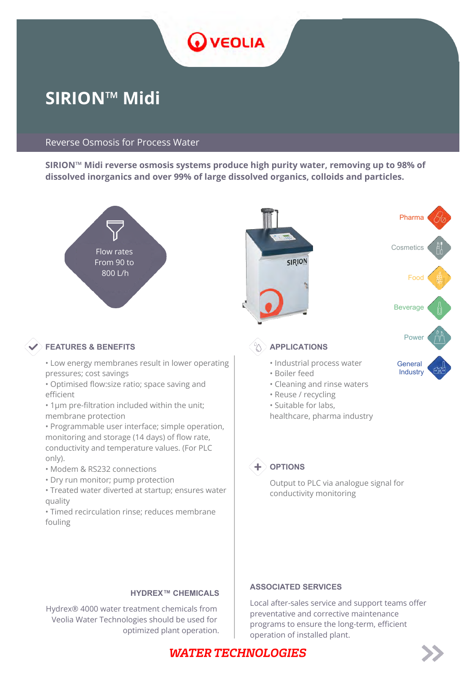

# **SIRION™ Midi**

#### Reverse Osmosis for Process Water

**SIRION™ Midi reverse osmosis systems produce high purity water, removing up to 98% of dissolved inorganics and over 99% of large dissolved organics, colloids and particles.**



#### **HYDREX™ CHEMICALS**

Hydrex® 4000 water treatment chemicals from Veolia Water Technologies should be used for optimized plant operation.

#### **ASSOCIATED SERVICES**

Local after-sales service and support teams offer preventative and corrective maintenance programs to ensure the long-term, efficient operation of installed plant.

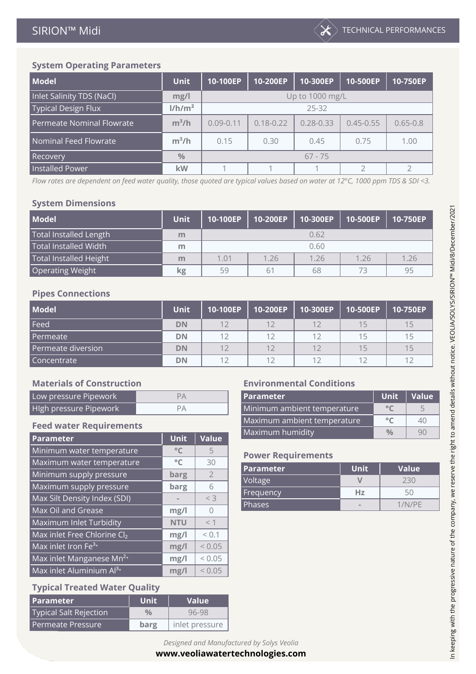| <b>Model</b>               | <b>Unit</b>        | 10-100EP      | 10-200EP        | 10-300EP      | 10-500EP      | 10-750EP     |
|----------------------------|--------------------|---------------|-----------------|---------------|---------------|--------------|
| Inlet Salinity TDS (NaCl)  | mg/l               |               | Up to 1000 mg/L |               |               |              |
| <b>Typical Design Flux</b> | 1/h/m <sup>2</sup> |               | $25 - 32$       |               |               |              |
| Permeate Nominal Flowrate  | $m^3/h$            | $0.09 - 0.11$ | $0.18 - 0.22$   | $0.28 - 0.33$ | $0.45 - 0.55$ | $0.65 - 0.8$ |
| Nominal Feed Flowrate      | $m^3/h$            | 0.15          | 0.30            | 0.45          | 0.75          | 1.00         |
| <b>Recovery</b>            | $\frac{0}{0}$      | $67 - 75$     |                 |               |               |              |
| <b>Installed Power</b>     | kW                 |               |                 |               |               |              |

*Flow rates are dependent on feed water quality, those quoted are typical values based on water at 12°C, 1000 ppm TDS & SDI <3.*

#### **System Dimensions**

| <b>Model</b>                       | <b>Unit</b> | 10-100EP | 10-200EP | 10-300EP | 10-500EP | 10-750EP |
|------------------------------------|-------------|----------|----------|----------|----------|----------|
| <b>Total Installed Length</b>      | m           |          |          | 0.62     |          |          |
| Total Installed Width <sup>1</sup> | m           |          | 0.60     |          |          |          |
| <b>Total Installed Height</b>      | m           | 1.01     | 1.26     | 1 26     | 1.26     | 1.26     |
| <b>Operating Weight</b>            | kg          | 59       | 61       | 68       | 73       | 95       |

#### **Pipes Connections**

| <b>Model</b>       | <b>Unit</b> | 10-100EP | 10-200EP   10-300EP | $\vert$ 10-500EP | 10-750EP |
|--------------------|-------------|----------|---------------------|------------------|----------|
| Feed               | <b>DN</b>   |          | 12                  | 15               | 15       |
| Permeate           | DN          | 1つ       | 12                  | 15               | 15       |
| Permeate diversion | DN          |          | 12                  | 15               | 15       |
| Concentrate        | DN          |          | 12                  | 1つ               | 12       |

#### **Materials of Construction Environmental Conditions**

| Low pressure Pipework  |  | l Parameter                 | Unit   Value   |  |
|------------------------|--|-----------------------------|----------------|--|
| High pressure Pipework |  | Minimum ambient temperature | 0 <sup>o</sup> |  |

#### **Feed water Requirements**

|                                      |              |                | Maximum humidity          |             | $\frac{0}{0}$ | 9            |
|--------------------------------------|--------------|----------------|---------------------------|-------------|---------------|--------------|
| Parameter                            | <b>Unit</b>  | Value          |                           |             |               |              |
| Minimum water temperature            | $^{\circ}$ C | 5              | <b>Power Requirements</b> |             |               |              |
| Maximum water temperature            | $^{\circ}$ C | 30             |                           |             |               |              |
| Minimum supply pressure              | barg         | $\overline{2}$ | <b>Parameter</b>          | <b>Unit</b> |               | <b>Value</b> |
| Maximum supply pressure              | barg         | 6              | Voltage                   | V           |               | 230          |
| Max Silt Density Index (SDI)         |              | $<$ 3          | Frequency                 | Hz          |               | 50           |
|                                      |              |                | Phases                    |             |               | 1/N/PE       |
| Max Oil and Grease                   | mg/l         | $\bigcap$      |                           |             |               |              |
| Maximum Inlet Turbidity              | <b>NTU</b>   | $<$ 1          |                           |             |               |              |
| Max inlet Free Chlorine Cl2          | mg/l         | < 0.1          |                           |             |               |              |
| Max inlet Iron Fe <sup>3+</sup>      | mg/l         | < 0.05         |                           |             |               |              |
| Max inlet Manganese Mn <sup>2+</sup> | mg/l         | < 0.05         |                           |             |               |              |
| Max inlet Aluminium Al <sup>3+</sup> | mg/l         | < 0.05         |                           |             |               |              |
|                                      |              |                |                           |             |               |              |

#### **Typical Treated Water Quality**

| l Parameter            | <b>Unit</b>   | <b>Value</b>   |
|------------------------|---------------|----------------|
| Typical Salt Rejection | $\frac{0}{0}$ | 96-98          |
| l Permeate Pressure.   | barg          | inlet pressure |

| <b>Parameter</b>            | <b>Unit</b> | Value |
|-----------------------------|-------------|-------|
| Minimum ambient temperature |             |       |
| Maximum ambient temperature |             | 41'   |
| Maximum humidity            |             |       |

#### **Power Requirements**

| <b>Parameter</b> | <b>Unit</b> | Value  |
|------------------|-------------|--------|
| Voltage          |             | 230    |
| Frequency        | Hz          | 5()    |
| <b>Phases</b>    | $\sim$      | 1/N/PF |

## *Designed and Manufactured by Solys Veolia*

#### **[www.veoliawatertechnologies.com](http://www.veoliawatertechnologies.com)**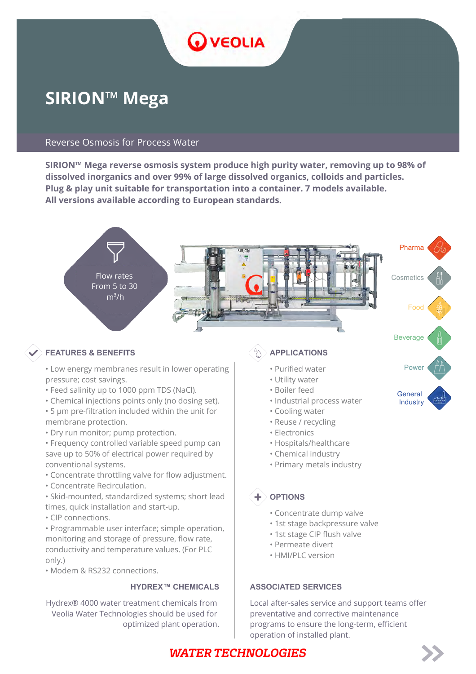

# **SIRION™ Mega**

#### Reverse Osmosis for Process Water

**SIRION™ Mega reverse osmosis system produce high purity water, removing up to 98% of dissolved inorganics and over 99% of large dissolved organics, colloids and particles. Plug & play unit suitable for transportation into a container. 7 models available. All versions available according to European standards.**



#### **FEATURES & BENEFITS**  $\left(\begin{matrix} \otimes \\ \mathbf{A} \end{matrix}\right)$  applications

- Low energy membranes result in lower operating | we Purified water Power pressure; cost savings.
- Feed salinity up to 1000 ppm TDS (NaCl).
- Chemical injections points only (no dosing set). • 5 μm pre-filtration included within the unit for
- membrane protection.
- Dry run monitor; pump protection.
- Frequency controlled variable speed pump can save up to 50% of electrical power required by conventional systems.
- Concentrate throttling valve for flow adjustment.
- Concentrate Recirculation.
- Skid-mounted, standardized systems; short lead times, quick installation and start-up.
- CIP connections.

• Programmable user interface; simple operation, monitoring and storage of pressure, flow rate, conductivity and temperature values. (For PLC only.)

• Modem & RS232 connections.

#### **HYDREX™ CHEMICALS**

Hydrex® 4000 water treatment chemicals from Veolia Water Technologies should be used for optimized plant operation.

- Purified water
- Utility water
- Boiler feed
- Industrial process water
- Cooling water
- Reuse / recycling
- Electronics
- Hospitals/healthcare
- Chemical industry
- Primary metals industry

## **OPTIONS**

- Concentrate dump valve
- 1st stage backpressure valve
- 1st stage CIP flush valve
- Permeate divert
- HMI/PLC version

#### **ASSOCIATED SERVICES**

Local after-sales service and support teams offer preventative and corrective maintenance programs to ensure the long-term, efficient operation of installed plant.

# General **Industry**



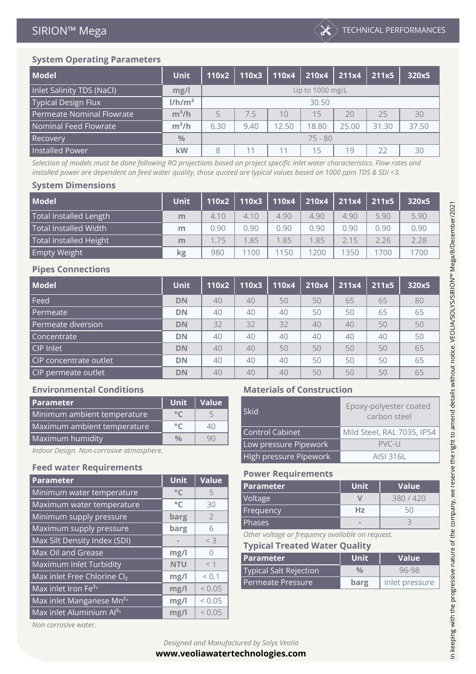

| <b>Model</b>                 | <b>Unit</b>        | 110x2           | 110x3 | 110x4 | 210x4 | 211x4 | 211x5 | 320x5 |
|------------------------------|--------------------|-----------------|-------|-------|-------|-------|-------|-------|
| Inlet Salinity TDS (NaCl)    | mg/l               | Up to 1000 mg/L |       |       |       |       |       |       |
| <b>Typical Design Flux</b>   | 1/h/m <sup>2</sup> | 30.50           |       |       |       |       |       |       |
| Permeate Nominal Flowrate    | $m^3/h$            |                 | 7.5   | 10    | 15    | 20    | 25    | 30    |
| <b>Nominal Feed Flowrate</b> | $m^3/h$            | 6.30            | 9.40  | 12.50 | 18.80 | 25.00 | 31.30 | 37.50 |
| <b>Recovery</b>              | $\frac{0}{0}$      | $75 - 80$       |       |       |       |       |       |       |
| <b>Installed Power</b>       | kW                 | 8               | 11    | 11    | 15    | 19    | 22    | 30    |

*Selection of models must be done following RO projections based on project specific inlet water characteristics. Flow rates and installed power are dependent on feed water quality, those quoted are typical values based on 1000 ppm TDS & SDI <3.*

#### **System Dimensions**

| <b>Model</b>                       | <b>Unit</b> | 110x2 | 110x3 | 110x4 | 210x4 | 211x4 | 211x5 | 320x5 |
|------------------------------------|-------------|-------|-------|-------|-------|-------|-------|-------|
| <b>Total Installed Length</b>      | m           | 4.10  | 4.10  | 4.90  | 4.90  | 4.90  | 5.90  | 5.90  |
| Total Installed Width <sup>1</sup> | m           | 0.90  | 0.90  | 0.90  | 0.90  | 0.90  | 0.90  | 0.90  |
| <b>Total Installed Height</b>      | m           | 1.75  | 1.85  | 1.85  | 1.85  | 2.15  | 2.26  | 2.28  |
| <b>Empty Weight</b>                | kg          | 980   | 1100  | 1150  | 1200  | 1350  | 1700  | 1700  |

#### **Pipes Connections**

| <b>Model</b>           | <b>Unit</b> | 110x2 | 110x3 | 110x4 | 210x4 | 211x4 | 211x5 | 320x5 |
|------------------------|-------------|-------|-------|-------|-------|-------|-------|-------|
| Feed                   | <b>DN</b>   | 40    | 40    | 50    | 50    | 65    | 65    | 80    |
| Permeate               | <b>DN</b>   | 40    | 40    | 40    | 50    | 50    | 65    | 65    |
| Permeate diversion     | <b>DN</b>   | 32    | 32    | 32    | 40    | 40    | 50    | 50    |
| Concentrate            | <b>DN</b>   | 40    | 40    | 40    | 40    | 40    | 40    | 50    |
| CIP Inlet              | <b>DN</b>   | 40    | 40    | 50    | 50    | 50    | 50    | 65    |
| CIP concentrate outlet | <b>DN</b>   | 40    | 40    | 40    | 50    | 50    | 50    | 65    |
| CIP permeate outlet    | <b>DN</b>   | 40    | 40    | 40    | 50    | 50    | 50    | 65    |

#### **Environmental Conditions Materials of Construction**

| <b>Parameter</b>            | <b>Unit</b>   | Value |                       | Epoxy-polyester co  |
|-----------------------------|---------------|-------|-----------------------|---------------------|
| Minimum ambient temperature | $\circ$ (     |       | Skid                  | carbon steel        |
| Maximum ambient temperature | $^{\circ}$    | 40    | Control Cabinet       | Mild Steel, RAL 703 |
| Maximum humidity            | $\frac{0}{0}$ | 90    |                       |                     |
|                             |               |       | Low pressure Pipework | PVC-L               |

## **Feed water Requirements Power Requirements**

| <b>Parameter</b>                     | <b>Unit</b>  | Value          | POWER Requirements                               |               |                |  |  |
|--------------------------------------|--------------|----------------|--------------------------------------------------|---------------|----------------|--|--|
|                                      |              |                | Parameter                                        | <b>Unit</b>   | <b>Value</b>   |  |  |
| Minimum water temperature            | $^{\circ}$ C | 5              | Voltage                                          | $\vee$        | 380 / 420      |  |  |
| Maximum water temperature            | $^{\circ}$ C | 30             |                                                  |               |                |  |  |
| Minimum supply pressure              | barg         | $\overline{2}$ | Frequency                                        | Hz            | 50             |  |  |
|                                      |              | 6              | <b>Phases</b>                                    |               | 3              |  |  |
| Maximum supply pressure              | barg         |                | Other voltage or frequency available on request. |               |                |  |  |
| Max Silt Density Index (SDI)         |              | $<$ 3          | <b>Typical Treated Water Quality</b>             |               |                |  |  |
| Max Oil and Grease                   | mg/l         | $\bigcap$      |                                                  |               |                |  |  |
| Maximum Inlet Turbidity              | <b>NTU</b>   | $<$ 1          | <b>Parameter</b>                                 | <b>Unit</b>   | <b>Value</b>   |  |  |
|                                      |              |                | <b>Typical Salt Rejection</b>                    | $\frac{0}{0}$ | 96-98          |  |  |
| Max inlet Free Chlorine Cl2          | mg/l         | < 0.1          |                                                  |               |                |  |  |
| Max inlet Iron Fe <sup>3+</sup>      | mg/l         | < 0.05         | Permeate Pressure                                | barg          | inlet pressure |  |  |
| Max inlet Manganese Mn <sup>2+</sup> | mg/l         | ${}_{0.05}$    |                                                  |               |                |  |  |
|                                      |              |                |                                                  |               |                |  |  |
| Max inlet Aluminium Al <sup>3+</sup> | mg/l         | < 0.05         |                                                  |               |                |  |  |

| <b>Parameter</b>                         | Unit          | Value |                        | Epoxy-polyester coated     |
|------------------------------------------|---------------|-------|------------------------|----------------------------|
| Minimum ambient temperature              | $^{\circ}$ C  |       | Skid                   | carbon steel               |
| Maximum ambient temperature              | $\circ$       | 40    |                        |                            |
|                                          |               |       | Control Cabinet        | Mild Steel, RAL 7035, IP54 |
| Maximum humidity                         | $\frac{0}{0}$ | 90    | Low pressure Pipework  | $PVC-U$                    |
| Indoor Design. Non-corrosive atmosphere. |               |       |                        |                            |
|                                          |               |       | High pressure Pipework | AISI 316L                  |

| <b>Parameter</b> | Unit <sup>1</sup>        | Value   |
|------------------|--------------------------|---------|
| Voltage          |                          | 380/420 |
| Frequency        | Hz                       | 51'     |
| <b>Phases</b>    | $\overline{\phantom{a}}$ |         |

| <b>Parameter</b>              | <b>Unit</b>   | <b>Value</b>   |
|-------------------------------|---------------|----------------|
|                               |               |                |
| <b>Typical Salt Rejection</b> | $\frac{0}{0}$ | 96-98          |
| Permeate Pressure             | barg          | inlet pressure |

In keeping with the progressive nature of the company, we reserve the right to amend details without notice. VEOLIA/SOLYS/SIRION™ Mega/8/December/2021 In keeping with the progressive nature of the company, we reserve the right to amend details without notice. VEOLIA/SOLYS/SIRION™ Mega/8/December/2021

*Non corrosive water.*

*Designed and Manufactured by Solys Veolia* **[www.veoliawatertechnologies.com](http://www.veoliawatertechnologies.com)**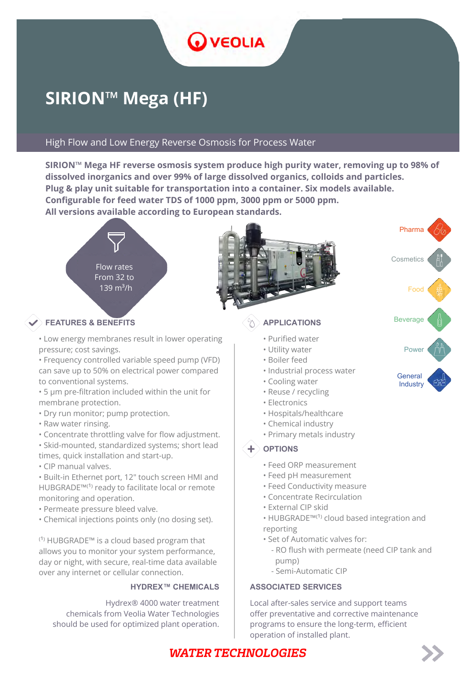

# **SIRION™ Mega (HF)**

#### High Flow and Low Energy Reverse Osmosis for Process Water

**SIRION™ Mega HF reverse osmosis system produce high purity water, removing up to 98% of dissolved inorganics and over 99% of large dissolved organics, colloids and particles. Plug & play unit suitable for transportation into a container. Six models available. Configurable for feed water TDS of 1000 ppm, 3000 ppm or 5000 ppm. All versions available according to European standards.**



## **EXAMPLICATIONS** Beverage **Beverage Beverage APPLICATIONS**

• Low energy membranes result in lower operating pressure; cost savings.

• Frequency controlled variable speed pump (VFD) can save up to 50% on electrical power compared to conventional systems.

• 5 μm pre-filtration included within the unit for membrane protection.

- Dry run monitor; pump protection.
- Raw water rinsing.

• Concentrate throttling valve for flow adjustment.

• Skid-mounted, standardized systems; short lead times, quick installation and start-up.

• CIP manual valves.

• Built-in Ethernet port, 12" touch screen HMI and HUBGRADE™<sup>(1)</sup> ready to facilitate local or remote monitoring and operation.

- Permeate pressure bleed valve.
- Chemical injections points only (no dosing set).

 $^{(1)}$  HUBGRADE<sup>™</sup> is a cloud based program that allows you to monitor your system performance, day or night, with secure, real-time data available over any internet or cellular connection.

Hydrex® 4000 water treatment chemicals from Veolia Water Technologies should be used for optimized plant operation.

- Purified water
- Utility water
- Boiler feed
- Industrial process water
- Cooling water
- Reuse / recycling
- Electronics
- Hospitals/healthcare
- Chemical industry
- Primary metals industry

#### $\textbf{+}$  options

- Feed ORP measurement
- Feed pH measurement
- Feed Conductivity measure
- Concentrate Recirculation
- External CIP skid
- HUBGRADE™<sup>(1)</sup> cloud based integration and reporting
- Set of Automatic valves for:
	- RO flush with permeate (need CIP tank and pump)
	- Semi-Automatic CIP

#### **HYDREX™ CHEMICALS | ASSOCIATED SERVICES**

Local after-sales service and support teams offer preventative and corrective maintenance programs to ensure the long-term, efficient operation of installed plant.



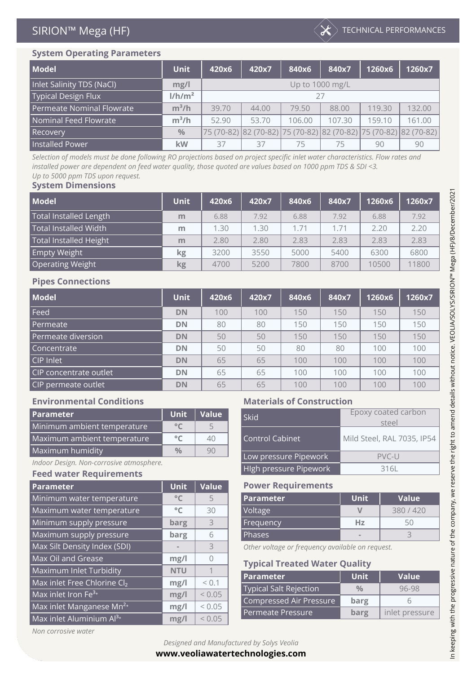

| <b>Model</b>               | <b>Unit</b>        | 420x6           | 420x7                                                                  | 840x6  | 840x7  | 1260x6 | 1260x7 |  |
|----------------------------|--------------------|-----------------|------------------------------------------------------------------------|--------|--------|--------|--------|--|
| Inlet Salinity TDS (NaCl)  | mg/l               | Up to 1000 mg/L |                                                                        |        |        |        |        |  |
| <b>Typical Design Flux</b> | 1/h/m <sup>2</sup> | 27              |                                                                        |        |        |        |        |  |
| Permeate Nominal Flowrate  | $m^3/h$            | 39.70           | 44.00                                                                  | 79.50  | 88.00  | 119.30 | 132.00 |  |
| Nominal Feed Flowrate      | $m^3/h$            | 52.90           | 53.70                                                                  | 106.00 | 107.30 | 159.10 | 161.00 |  |
| Recovery                   | $\frac{0}{0}$      |                 | 75 (70-82)  82 (70-82)  75 (70-82)  82 (70-82)  75 (70-82)  82 (70-82) |        |        |        |        |  |
| <b>Installed Power</b>     | <b>kW</b>          | 37              | 37                                                                     | 75     | 75     | 90     | 90     |  |

*Selection of models must be done following RO projections based on project specific inlet water characteristics. Flow rates and installed power are dependent on feed water quality, those quoted are values based on 1000 ppm TDS & SDI <3. Up to 5000 ppm TDS upon request.*

#### **System Dimensions**

| <b>Model</b>                  | <b>Unit</b> | 420x6 | 420x7 | 840x6 | 840x7 | 1260x6 | 1260x7 |
|-------------------------------|-------------|-------|-------|-------|-------|--------|--------|
| <b>Total Installed Length</b> | m           | 6.88  | 7.92  | 6.88  | 7.92  | 6.88   | 7.92   |
| <b>Total Installed Width</b>  | m           | 1.30  | 1.30  | 1.71  | 1.71  | 2.20   | 2.20   |
| <b>Total Installed Height</b> | m           | 2.80  | 2.80  | 2.83  | 2.83  | 2.83   | 2.83   |
| <b>Empty Weight</b>           | kg          | 3200  | 3550  | 5000  | 5400  | 6300   | 6800   |
| <b>Operating Weight</b>       | <b>kg</b>   | 4700  | 5200  | 7800  | 8700  | 10500  | 11800  |

#### **Pipes Connections**

| <b>Model</b>           | <b>Unit</b> | 420x6 | 420x7 | 840x6 | 840x7 | 1260x6 | 1260x7 |
|------------------------|-------------|-------|-------|-------|-------|--------|--------|
| Feed                   | <b>DN</b>   | 100   | 100   | 150   | 150   | 150    | 150    |
| Permeate               | <b>DN</b>   | 80    | 80    | 150   | 150   | 150    | 150    |
| Permeate diversion     | <b>DN</b>   | 50    | 50    | 150   | 150   | 150    | 150    |
| Concentrate            | <b>DN</b>   | 50    | 50    | 80    | 80    | 100    | 100    |
| CIP Inlet              | <b>DN</b>   | 65    | 65    | 100   | 100   | 100    | 100    |
| CIP concentrate outlet | <b>DN</b>   | 65    | 65    | 100   | 100   | 100    | 100    |
| CIP permeate outlet    | <b>DN</b>   | 65    | 65    | 100   | 100   | 100    | 100    |

| <b>Parameter</b>            | Unit.         | l Value l | Skid                   | Epoxy coated carbon        |
|-----------------------------|---------------|-----------|------------------------|----------------------------|
| Minimum ambient temperature | $^{\circ}$ C  |           |                        | steel                      |
| Maximum ambient temperature | $\circ$       | 40        | <b>Control Cabinet</b> | Mild Steel, RAL 7035, IP54 |
| Maximum humidity            | $\frac{0}{0}$ | 90        | Lownraccura Dinawork   | DYCL                       |

#### *Indoor Design. Non-corrosive atmosphere.*

#### **Feed water Requirements**

| <b>Parameter</b>                     | <b>Unit</b>  | Value     | <b>Power Requirements</b>                        |               |                |  |  |
|--------------------------------------|--------------|-----------|--------------------------------------------------|---------------|----------------|--|--|
| Minimum water temperature            | $^{\circ}$ C | 5         | <b>Parameter</b>                                 | <b>Unit</b>   | <b>Value</b>   |  |  |
| Maximum water temperature            | $^{\circ}$ C | 30        | Voltage                                          | $\vee$        | 380 / 420      |  |  |
| Minimum supply pressure              | barg         | 3         | Frequency                                        | Hz            | 50             |  |  |
| Maximum supply pressure              | barg         | 6         | <b>Phases</b>                                    |               | 3              |  |  |
| Max Silt Density Index (SDI)         |              | 3         | Other voltage or frequency available on request. |               |                |  |  |
| Max Oil and Grease                   | mg/l         | $\bigcap$ | <b>Typical Treated Water Quality</b>             |               |                |  |  |
| Maximum Inlet Turbidity              | <b>NTU</b>   |           | Parameter                                        | <b>Unit</b>   | <b>Value</b>   |  |  |
| Max inlet Free Chlorine Cl2          | mg/l         | < 0.1     |                                                  |               |                |  |  |
| Max inlet Iron $Fe3+$                | mg/l         | < 0.05    | <b>Typical Salt Rejection</b>                    | $\frac{0}{0}$ | 96-98          |  |  |
| Max inlet Manganese Mn <sup>2+</sup> | mg/l         | < 0.05    | Compressed Air Pressure                          | barg          | 6              |  |  |
| Max inlet Aluminium Al <sup>3+</sup> | mg/l         | < 0.05    | Permeate Pressure                                | barg          | inlet pressure |  |  |
|                                      |              |           |                                                  |               |                |  |  |

#### **Environmental Conditions Materials of Construction**

| <b>Parameter</b>                         | <b>Unit</b>   | Value | Epoxy coated carbon<br>Skid |                            |
|------------------------------------------|---------------|-------|-----------------------------|----------------------------|
| Minimum ambient temperature              | $^{\circ}$ C  |       |                             | steel                      |
|                                          |               |       |                             |                            |
| Maximum ambient temperature              | $^{\circ}$ C  | 40    | Control Cabinet             | Mild Steel, RAL 7035, IP54 |
|                                          |               |       |                             |                            |
| Maximum humidity                         | $\frac{0}{0}$ | 90    | Low pressure Pipework       | $PVC-U$                    |
| Indoor Design. Non-corrosive atmosphere. |               |       |                             |                            |
|                                          |               |       | High pressure Pipework      | 316L                       |
| Food water Bourisements                  |               |       |                             |                            |

#### **Power Requirements**

| <b>Parameter</b> | Unit <sup>'</sup> | Value   |
|------------------|-------------------|---------|
| Voltage          |                   | 380/420 |
| Frequency        | Hz                |         |
| 'Phases          |                   |         |

#### **Typical Treated Water Quality**

| l Parameter             | <b>Unit</b>   | Value          |
|-------------------------|---------------|----------------|
| Typical Salt Rejection  | $\frac{0}{0}$ | 96-98          |
| Compressed Air Pressure | barg          |                |
| l Permeate Pressure     | barg          | inlet pressure |

*Non corrosive water*

**[www.veoliawatertechnologies.com](http://www.veoliawatertechnologies.com)**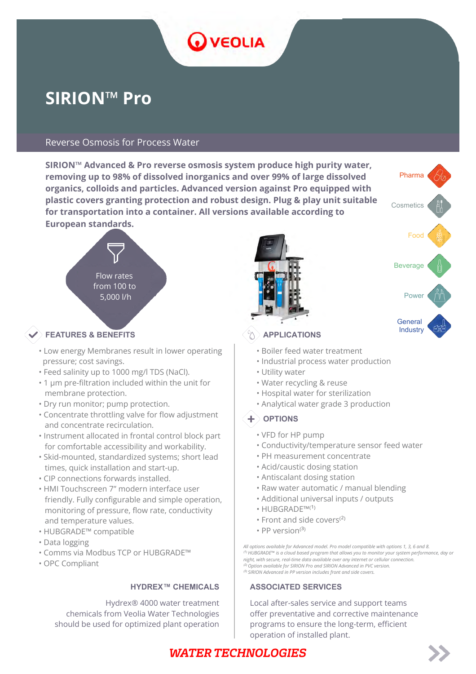# VEOLIA

# **SIRION™ Pro**

#### Reverse Osmosis for Process Water

**SIRION™ Advanced & Pro reverse osmosis system produce high purity water, removing up to 98% of dissolved inorganics and over 99% of large dissolved organics, colloids and particles. Advanced version against Pro equipped with plastic covers granting protection and robust design. Plug & play unit suitable for transportation into a container. All versions available according to European standards.**



#### Industry **FEATURES & BENEFITS APPLICATIONS**

- Low energy Membranes result in lower operating pressure; cost savings.
- Feed salinity up to 1000 mg/l TDS (NaCl).
- 1 μm pre-filtration included within the unit for membrane protection.
- Dry run monitor; pump protection.
- Concentrate throttling valve for flow adjustment and concentrate recirculation.
- Instrument allocated in frontal control block part for comfortable accessibility and workability.
- Skid-mounted, standardized systems; short lead times, quick installation and start-up.
- CIP connections forwards installed.
- HMI Touchscreen 7" modern interface user friendly. Fully configurable and simple operation, monitoring of pressure, flow rate, conductivity and temperature values.
- HUBGRADE™ compatible
- Data logging
- Comms via Modbus TCP or HUBGRADE™
- OPC Compliant

Hydrex® 4000 water treatment chemicals from Veolia Water Technologies should be used for optimized plant operation





- Boiler feed water treatment
- Industrial process water production
- Utility water
- Water recycling & reuse
- Hospital water for sterilization
- Analytical water grade 3 production

#### $+$  OPTIONS

- VFD for HP pump
- Conductivity/temperature sensor feed water
- PH measurement concentrate
- Acid/caustic dosing station
- Antiscalant dosing station
- Raw water automatic / manual blending
- Additional universal inputs / outputs
- $\cdot$  HUBGRADE™ $(1)$
- Front and side covers $^{(2)}$
- PP version $(3)$

*All options available for Advanced model. Pro model compatible with options 1, 3, 6 and 8.* <sup>(1)</sup> HUBGRADE™ is a cloud based program that allows you to monitor your system performance, day or *night, with secure, real-time data available over any internet or cellular connection. ⁽²⁾ Option available for SIRION Pro and SIRION Advanced in PVC version. ⁽³⁾ SIRION Advanced in PP version includes front and side covers.*

#### **HYDREX™ CHEMICALS | ASSOCIATED SERVICES**

Local after-sales service and support teams offer preventative and corrective maintenance programs to ensure the long-term, efficient operation of installed plant.

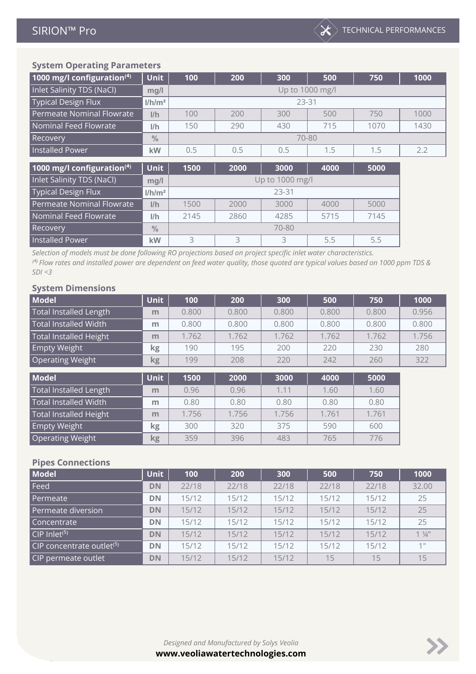| 1000 mg/l configuration $(4)$ | <b>Unit</b>        | 100  | 200             | 300   | 500  | 750  | 1000 |  |  |
|-------------------------------|--------------------|------|-----------------|-------|------|------|------|--|--|
| Inlet Salinity TDS (NaCl)     | mg/l               |      | Up to 1000 mg/l |       |      |      |      |  |  |
| <b>Typical Design Flux</b>    | I/h/m <sup>2</sup> |      |                 | 23-31 |      |      |      |  |  |
| Permeate Nominal Flowrate     | I/h                | 100  | 200             | 300   | 500  | 750  | 1000 |  |  |
| Nominal Feed Flowrate         | 1/h                | 150  | 290             | 430   | 715  | 1070 | 1430 |  |  |
| Recovery                      | $\frac{0}{0}$      |      |                 | 70-80 |      |      |      |  |  |
| <b>Installed Power</b>        | kW                 | 0.5  | 0.5             | 0.5   | 1.5  | 1.5  | 2.2  |  |  |
|                               |                    |      |                 |       |      |      |      |  |  |
| 1000 mg/l configuration $(4)$ | <b>Unit</b>        | 1500 | 2000            | 3000  | 4000 | 5000 |      |  |  |

| $1000 \, \text{m}$ , $1001 \, \text{m}$ | .                  | .               | .                            | .    | .    | .    |  |  |  |  |
|-----------------------------------------|--------------------|-----------------|------------------------------|------|------|------|--|--|--|--|
| Inlet Salinity TDS (NaCl)               | mg/l               | Up to 1000 mg/l |                              |      |      |      |  |  |  |  |
| <b>Typical Design Flux</b>              | 1/h/m <sup>2</sup> |                 | 23-31                        |      |      |      |  |  |  |  |
| Permeate Nominal Flowrate               | I/h                | 1500            | 3000<br>5000<br>4000<br>2000 |      |      |      |  |  |  |  |
| Nominal Feed Flowrate                   | 1/h                | 2145            | 2860                         | 4285 | 5715 | 7145 |  |  |  |  |
| Recovery                                | $\frac{0}{0}$      | 70-80           |                              |      |      |      |  |  |  |  |
| <b>Installed Power</b>                  | kW                 | $\mathbf{z}$    |                              |      | 5.5  | 5.5  |  |  |  |  |

*Selection of models must be done following RO projections based on project specific inlet water characteristics. ⁽⁴⁾ Flow rates and installed power are dependent on feed water quality, those quoted are typical values based on 1000 ppm TDS & SDI <3*

#### **System Dimensions**

| <b>Model</b>                  | <b>Unit</b> | 100   | 200   | 300   | 500   | 750   | 1000  |
|-------------------------------|-------------|-------|-------|-------|-------|-------|-------|
| Total Installed Length        | m           | 0.800 | 0.800 | 0.800 | 0.800 | 0.800 | 0.956 |
| <b>Total Installed Width</b>  | m           | 0.800 | 0.800 | 0.800 | 0.800 | 0.800 | 0.800 |
| <b>Total Installed Height</b> | m           | 1.762 | 1.762 | 1.762 | 1.762 | 1.762 | 1.756 |
| Empty Weight                  | <b>kg</b>   | 190   | 195   | 200   | 220   | 230   | 280   |
| <b>Operating Weight</b>       | <b>kg</b>   | 199   | 208   | 220   | 242   | 260   | 322   |
|                               |             |       |       |       |       |       |       |
| <b>Model</b>                  | <b>Unit</b> | 1500  | 2000  | 3000  | 4000  | 5000  |       |
| <b>Total Installed Length</b> | m           | 0.96  | 0.96  | 1.11  | 1.60  | 1.60  |       |
| <b>Total Installed Width</b>  | m           | 0.80  | 0.80  | 0.80  | 0.80  | 0.80  |       |
| <b>Total Installed Height</b> | m           | 1.756 | 1.756 | 1.756 | 1.761 | 1.761 |       |
| <b>Empty Weight</b>           | <b>kg</b>   | 300   | 320   | 375   | 590   | 600   |       |

#### **Pipes Connections**

| <b>Model</b>                          | <b>Unit</b> | 100   | 200   | 300   | 500   | 750   | 1000           |
|---------------------------------------|-------------|-------|-------|-------|-------|-------|----------------|
| Feed                                  | <b>DN</b>   | 22/18 | 22/18 | 22/18 | 22/18 | 22/18 | 32.00          |
| Permeate                              | <b>DN</b>   | 15/12 | 15/12 | 15/12 | 15/12 | 15/12 | 25             |
| Permeate diversion                    | <b>DN</b>   | 15/12 | 15/12 | 15/12 | 15/12 | 15/12 | 25             |
| Concentrate                           | <b>DN</b>   | 15/12 | 15/12 | 15/12 | 15/12 | 15/12 | 25             |
| CIP Inlet <sup>(5)</sup>              | <b>DN</b>   | 15/12 | 15/12 | 15/12 | 15/12 | 15/12 | $1\frac{1}{4}$ |
| CIP concentrate outlet <sup>(5)</sup> | <b>DN</b>   | 15/12 | 15/12 | 15/12 | 15/12 | 15/12 | $1$ II         |
| CIP permeate outlet                   | <b>DN</b>   | 15/12 | 15/12 | 15/12 | 15    | 15    | 15             |

**Operating Weight <b>kg** | 359 | 396 | 483 | 765 | 776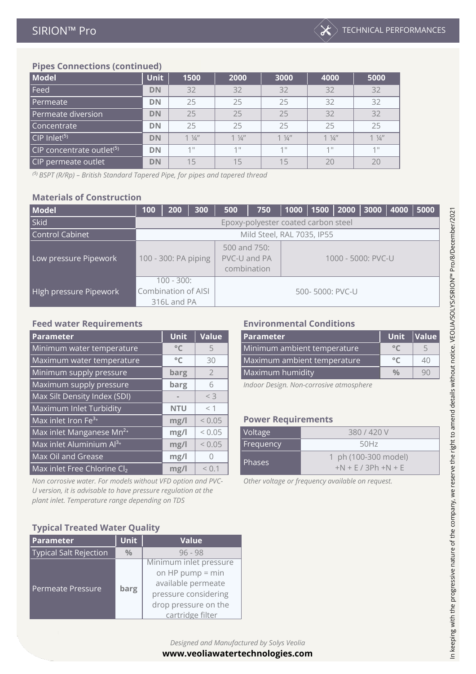

## **Pipes Connections (continued)**

| <b>Model</b>                          | <b>Unit</b> | 1500           | 2000           | 3000           | 4000           | 5000            |
|---------------------------------------|-------------|----------------|----------------|----------------|----------------|-----------------|
| Feed                                  | <b>DN</b>   | 32             | 32             | 32             | 32             | 32              |
| Permeate                              | <b>DN</b>   | 25             | 25             | 25             | 32             | 32              |
| Permeate diversion                    | <b>DN</b>   | 25             | 25             | 25             | 32             | 32              |
| Concentrate                           | <b>DN</b>   | 25             | 25             | 25             | 25             | 25              |
| CIP Inlet <sup>(5)</sup>              | <b>DN</b>   | $1\frac{1}{4}$ | $1\frac{1}{4}$ | $1\frac{1}{4}$ | $1\frac{1}{4}$ | $1 \frac{1}{4}$ |
| CIP concentrate outlet <sup>(5)</sup> | <b>DN</b>   | 11             | $1$ II         | 11             | 111            | 11              |
| CIP permeate outlet                   | <b>DN</b>   | 15             | 15             | 15             | 20             | 20              |

*⁽⁵⁾ BSPT (R/Rp) – British Standard Tapered Pipe, for pipes and tapered thread*

### **Materials of Construction**

| <b>Model</b>           | 100                  | 200                                 | 300 | 500                                         | 750 | 1000               | $1500$ 2000 |  | 3000   4000 |  | 5000 |
|------------------------|----------------------|-------------------------------------|-----|---------------------------------------------|-----|--------------------|-------------|--|-------------|--|------|
| <b>Skid</b>            |                      | Epoxy-polyester coated carbon steel |     |                                             |     |                    |             |  |             |  |      |
| <b>Control Cabinet</b> |                      | Mild Steel, RAL 7035, IP55          |     |                                             |     |                    |             |  |             |  |      |
| Low pressure Pipework  | 100 - 300: PA piping |                                     |     | 500 and 750:<br>PVC-U and PA<br>combination |     | 1000 - 5000: PVC-U |             |  |             |  |      |
| High pressure Pipework | Combination of AISI  | $100 - 300$ :<br>316L and PA        |     | 500-5000: PVC-U                             |     |                    |             |  |             |  |      |

| Parameter                            | <b>Unit</b>  | Value          | <b>Parameter</b>                            | <b>Unit</b>                 | Value |  |  |  |  |
|--------------------------------------|--------------|----------------|---------------------------------------------|-----------------------------|-------|--|--|--|--|
| Minimum water temperature            | $^{\circ}$ C |                | Minimum ambient temperature<br>$^{\circ}$ C |                             |       |  |  |  |  |
| Maximum water temperature            | $^{\circ}$ C | 30             |                                             | Maximum ambient temperature |       |  |  |  |  |
| Minimum supply pressure              | barg         | $\overline{2}$ | Maximum humidity                            | $\frac{0}{0}$               | 90    |  |  |  |  |
| Maximum supply pressure              | barg         | 6              | Indoor Design. Non-corrosive atmosphere     |                             |       |  |  |  |  |
| Max Silt Density Index (SDI)         |              | $<$ 3          |                                             |                             |       |  |  |  |  |
| Maximum Inlet Turbidity              | <b>NTU</b>   | $<$ 1          |                                             |                             |       |  |  |  |  |
| Max inlet Iron Fe <sup>3+</sup>      | mg/l         | < 0.05         | <b>Power Requirements</b>                   |                             |       |  |  |  |  |
| Max inlet Manganese Mn <sup>2+</sup> | mg/l         | < 0.05         | Voltage                                     | 380/420V                    |       |  |  |  |  |
| Max inlet Aluminium Al <sup>3+</sup> | mg/l         | < 0.05         | Frequency                                   | 50Hz                        |       |  |  |  |  |
| <b>Max Oil and Grease</b>            | mg/l         | $\bigcap$      | 1 ph (100-300 model)                        |                             |       |  |  |  |  |
| Max inlet Free Chlorine Cl2          | mg/l         | < 0.1          | Phases<br>$+N + E / 3Ph + N + E$            |                             |       |  |  |  |  |

*Non corrosive water. For models without VFD option and PVC-U version, it is advisable to have pressure regulation at the plant inlet. Temperature range depending on TDS*

#### **Feed water Requirements Environmental Conditions**

| <b>Parameter</b>            | <b>Unit</b> | <i><u><b>Value</b></u></i> |
|-----------------------------|-------------|----------------------------|
| Minimum ambient temperature |             | $\overline{\phantom{0}}$   |
| Maximum ambient temperature |             |                            |
| Maximum humidity            | $V_{0}$     |                            |

#### **Power Requirements**  $2300$  V (100-300 model)  $\sim$

| Voltage       | 380/420V                                       |
|---------------|------------------------------------------------|
| Frequency     | 50Hz                                           |
| <b>Phases</b> | 1 ph (100-300 model)<br>$+N$ + F / 3Ph + N + F |

*Other voltage or frequency available on request.*

#### **Typical Treated Water Quality**

 $\mathcal{A}$ 

| <b>Parameter</b>              | <b>Unit</b>   | <b>Value</b>           |  |  |
|-------------------------------|---------------|------------------------|--|--|
| <b>Typical Salt Rejection</b> | $\frac{0}{0}$ | $96 - 98$              |  |  |
|                               |               | Minimum inlet pressure |  |  |
|                               |               | on HP pump $=$ min     |  |  |
| <b>Permeate Pressure</b>      |               | available permeate     |  |  |
|                               | barg          | pressure considering   |  |  |
|                               |               | drop pressure on the   |  |  |
|                               |               | cartridge filter       |  |  |

In keeping with the progressive nature of the company, we reserve the right to amend details without notice. VEOLIA/SOLYS/SIRION™ Pro/8/December/2021 In keeping with the progressive nature of the company, we reserve the right to amend details without notice. VEOLIA/SOLYS/SIRION™ Pro/8/December/2021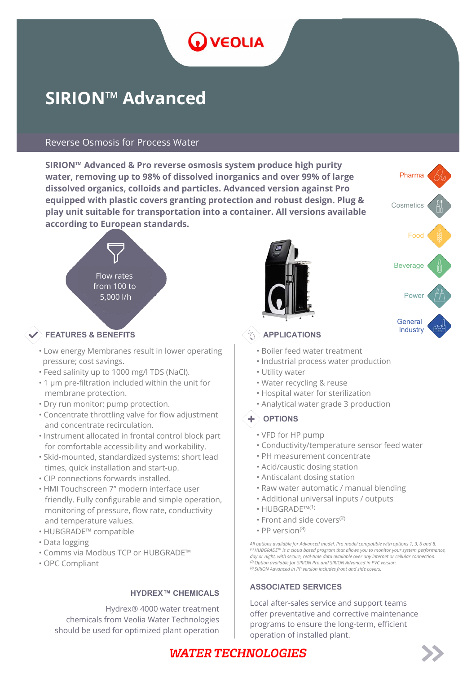# **D** VEOLIA

# **SIRION™ Advanced**

#### Reverse Osmosis for Process Water

**SIRION™ Advanced & Pro reverse osmosis system produce high purity water, removing up to 98% of dissolved inorganics and over 99% of large dissolved organics, colloids and particles. Advanced version against Pro equipped with plastic covers granting protection and robust design. Plug & play unit suitable for transportation into a container. All versions available according to European standards.**



#### $\bullet$  FEATURES & BENEFITS  $\textcircled{A}$  APPLICATIONS

- Low energy Membranes result in lower operating pressure; cost savings.
- Feed salinity up to 1000 mg/l TDS (NaCl).
- 1 μm pre-filtration included within the unit for membrane protection.
- Dry run monitor; pump protection.
- Concentrate throttling valve for flow adjustment and concentrate recirculation.
- Instrument allocated in frontal control block part for comfortable accessibility and workability.
- Skid-mounted, standardized systems; short lead times, quick installation and start-up.
- CIP connections forwards installed.
- HMI Touchscreen 7" modern interface user friendly. Fully configurable and simple operation, monitoring of pressure, flow rate, conductivity and temperature values.
- HUBGRADE™ compatible
- Data logging
- Comms via Modbus TCP or HUBGRADE™
- OPC Compliant

#### **HYDREX™ CHEMICALS**

Hydrex® 4000 water treatment chemicals from Veolia Water Technologies should be used for optimized plant operation





- Boiler feed water treatment
- Industrial process water production
- Utility water
- Water recycling & reuse
- Hospital water for sterilization
- Analytical water grade 3 production

#### $+$  OPTIONS

- VFD for HP pump
- Conductivity/temperature sensor feed water
- PH measurement concentrate
- Acid/caustic dosing station
- Antiscalant dosing station
- Raw water automatic / manual blending
- Additional universal inputs / outputs
- $\cdot$  HUBGRADE™ $(1)$
- $\cdot$  Front and side covers<sup>(2)</sup>
- PP version $(3)$

*All options available for Advanced model. Pro model compatible with options 1, 3, 6 and 8. ⁽¹⁾ HUBGRADE™ is a cloud based program that allows you to monitor your system performance, day or night, with secure, real-time data available over any internet or cellular connection. ⁽²⁾ Option available for SIRION Pro and SIRION Advanced in PVC version. ⁽³⁾ SIRION Advanced in PP version includes front and side covers.*

#### **ASSOCIATED SERVICES**

Local after-sales service and support teams offer preventative and corrective maintenance programs to ensure the long-term, efficient operation of installed plant.

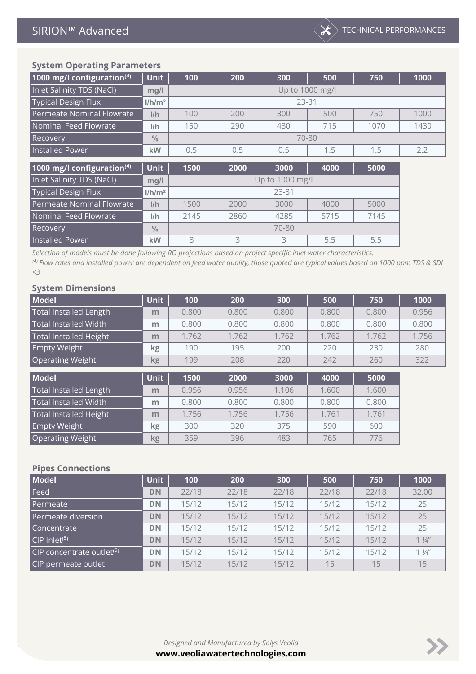| 1000 mg/l configuration $(4)$ | <b>Unit</b>        | 100  | 200             | 300                     | 500   | 750  | 1000 |  |  |  |  |  |
|-------------------------------|--------------------|------|-----------------|-------------------------|-------|------|------|--|--|--|--|--|
| Inlet Salinity TDS (NaCl)     | mg/l               |      | Up to 1000 mg/l |                         |       |      |      |  |  |  |  |  |
| <b>Typical Design Flux</b>    | 1/h/m <sup>2</sup> |      | 23-31           |                         |       |      |      |  |  |  |  |  |
| Permeate Nominal Flowrate     | I/h                | 100  | 200             | 300                     | 500   | 750  | 1000 |  |  |  |  |  |
| Nominal Feed Flowrate         | 1/h                | 150  | 290             | 430                     | 715   | 1070 | 1430 |  |  |  |  |  |
| <b>Recovery</b>               | $\frac{0}{0}$      |      |                 |                         | 70-80 |      |      |  |  |  |  |  |
| <b>Installed Power</b>        | kW                 | 0.5  | 0.5             | 0.5                     | 1.5   | 1.5  | 2.2  |  |  |  |  |  |
|                               |                    |      |                 |                         |       |      |      |  |  |  |  |  |
| 1000 mg/l configuration $(4)$ | <b>Unit</b>        | 1500 | 2000            | 3000                    | 4000  | 5000 |      |  |  |  |  |  |
| Inlet Salinity TDS (NaCl)     | $m0$ /             |      |                 | $\ln$ to 1000 mg/ $\ln$ |       |      |      |  |  |  |  |  |

| Inlet Salinity TDS (NaCl)  | mg/l               | Up to 1000 mg/l                      |      |      |      |      |  |  |  |
|----------------------------|--------------------|--------------------------------------|------|------|------|------|--|--|--|
| <b>Typical Design Flux</b> | 1/h/m <sup>2</sup> | 23-31                                |      |      |      |      |  |  |  |
| Permeate Nominal Flowrate  | I/h                | 5000<br>1500<br>3000<br>4000<br>2000 |      |      |      |      |  |  |  |
| Nominal Feed Flowrate      | l/h                | 2145                                 | 2860 | 4285 | 5715 | 7145 |  |  |  |
| Recovery                   | $\frac{0}{0}$      | 70-80                                |      |      |      |      |  |  |  |
| <b>Installed Power</b>     | kW                 |                                      |      |      | 5.5  | 5.5  |  |  |  |

*Selection of models must be done following RO projections based on project specific inlet water characteristics.*

**Empty Weight kg** 300 320 375 590 600 **Operating Weight <b>kg** | 359 | 396 | 483 | 765 | 776

*⁽⁴⁾ Flow rates and installed power are dependent on feed water quality, those quoted are typical values based on 1000 ppm TDS & SDI <3*

#### **System Dimensions**

| <b>Model</b>                  | <b>Unit</b> | 100   | 200   | 300   | 500   | 750   | 1000  |
|-------------------------------|-------------|-------|-------|-------|-------|-------|-------|
| <b>Total Installed Length</b> | m           | 0.800 | 0.800 | 0.800 | 0.800 | 0.800 | 0.956 |
| Total Installed Width         | m           | 0.800 | 0.800 | 0.800 | 0.800 | 0.800 | 0.800 |
| <b>Total Installed Height</b> | m           | 1.762 | 1.762 | 1.762 | 1.762 | 1.762 | 1.756 |
| Empty Weight                  | kg          | 190   | 195   | 200   | 220   | 230   | 280   |
| Operating Weight              | kg          | 199   | 208   | 220   | 242   | 260   | 322   |
| <b>Model</b>                  | <b>Unit</b> | 1500  | 2000  | 3000  | 4000  | 5000  |       |
| <b>Total Installed Length</b> | m           | 0.956 | 0.956 | 1.106 | 1.600 | 1.600 |       |
| <b>Total Installed Width</b>  | m           | 0.800 | 0.800 | 0.800 | 0.800 | 0.800 |       |
| <b>Total Installed Height</b> | m           | 1.756 | 1.756 | 1.756 | 1.761 | 1.761 |       |

#### **Pipes Connections**

| <b>Model</b>                          | <b>Unit</b> | 100   | 200   | 300   | 500   | 750   | 1000           |
|---------------------------------------|-------------|-------|-------|-------|-------|-------|----------------|
| Feed                                  | <b>DN</b>   | 22/18 | 22/18 | 22/18 | 22/18 | 22/18 | 32.00          |
| Permeate                              | DN          | 15/12 | 15/12 | 15/12 | 15/12 | 15/12 | 25             |
| Permeate diversion                    | <b>DN</b>   | 15/12 | 15/12 | 15/12 | 15/12 | 15/12 | 25             |
| Concentrate                           | DN          | 15/12 | 15/12 | 15/12 | 15/12 | 15/12 | 25             |
| $CIP$ Inlet <sup>(5)</sup>            | <b>DN</b>   | 15/12 | 15/12 | 15/12 | 15/12 | 15/12 | $1\frac{1}{4}$ |
| CIP concentrate outlet <sup>(5)</sup> | <b>DN</b>   | 15/12 | 15/12 | 15/12 | 15/12 | 15/12 | $1\frac{1}{4}$ |
| CIP permeate outlet                   | <b>DN</b>   | 15/12 | 15/12 | 15/12 | 15    | 15    | 15             |